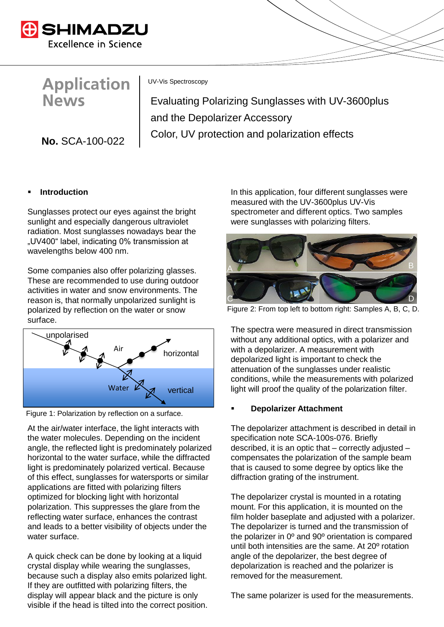

**Application News** 

**No.** SCA-100-022

UV-Vis Spectroscopy

Evaluating Polarizing Sunglasses with UV-3600plus and the Depolarizer Accessory Color, UV protection and polarization effects

## **Introduction**

Sunglasses protect our eyes against the bright sunlight and especially dangerous ultraviolet radiation. Most sunglasses nowadays bear the "UV400" label, indicating 0% transmission at wavelengths below 400 nm.

Some companies also offer polarizing glasses. These are recommended to use during outdoor activities in water and snow environments. The reason is, that normally unpolarized sunlight is polarized by reflection on the water or snow surface.



Figure 1: Polarization by reflection on a surface.

At the air/water interface, the light interacts with the water molecules. Depending on the incident angle, the reflected light is predominately polarized horizontal to the water surface, while the diffracted light is predominately polarized vertical. Because of this effect, sunglasses for watersports or similar applications are fitted with polarizing filters optimized for blocking light with horizontal polarization. This suppresses the glare from the reflecting water surface, enhances the contrast and leads to a better visibility of objects under the water surface.

A quick check can be done by looking at a liquid crystal display while wearing the sunglasses, because such a display also emits polarized light. If they are outfitted with polarizing filters, the display will appear black and the picture is only visible if the head is tilted into the correct position. In this application, four different sunglasses were measured with the UV-3600plus UV-Vis spectrometer and different optics. Two samples were sunglasses with polarizing filters.



Figure 2: From top left to bottom right: Samples A, B, C, D.

The spectra were measured in direct transmission without any additional optics, with a polarizer and with a depolarizer. A measurement with depolarized light is important to check the attenuation of the sunglasses under realistic conditions, while the measurements with polarized light will proof the quality of the polarization filter.

#### **Depolarizer Attachment**

The depolarizer attachment is described in detail in specification note SCA-100s-076. Briefly described, it is an optic that – correctly adjusted – compensates the polarization of the sample beam that is caused to some degree by optics like the diffraction grating of the instrument.

The depolarizer crystal is mounted in a rotating mount. For this application, it is mounted on the film holder baseplate and adjusted with a polarizer. The depolarizer is turned and the transmission of the polarizer in 0º and 90º orientation is compared until both intensities are the same. At 20º rotation angle of the depolarizer, the best degree of depolarization is reached and the polarizer is removed for the measurement.

The same polarizer is used for the measurements.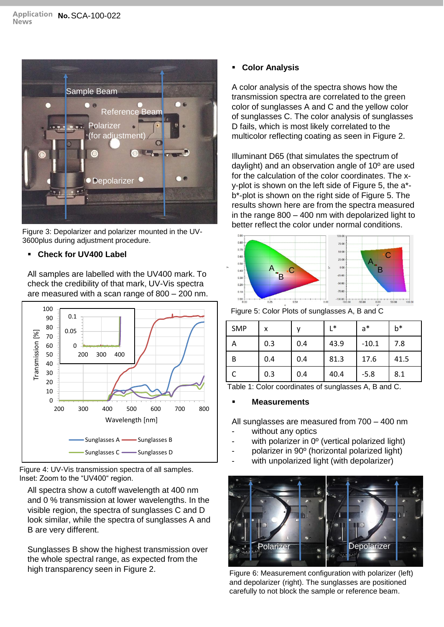

Figure 3: Depolarizer and polarizer mounted in the UV-3600plus during adjustment procedure.

## ▪ **Check for UV400 Label**

All samples are labelled with the UV400 mark. To check the credibility of that mark, UV-Vis spectra are measured with a scan range of 800 – 200 nm.



Figure 4: UV-Vis transmission spectra of all samples. Inset: Zoom to the "UV400" region.

All spectra show a cutoff wavelength at 400 nm and 0 % transmission at lower wavelengths. In the visible region, the spectra of sunglasses C and D look similar, while the spectra of sunglasses A and B are very different.

Sunglasses B show the highest transmission over the whole spectral range, as expected from the high transparency seen in Figure 2.

## ▪ **Color Analysis**

A color analysis of the spectra shows how the transmission spectra are correlated to the green color of sunglasses A and C and the yellow color of sunglasses C. The color analysis of sunglasses D fails, which is most likely correlated to the multicolor reflecting coating as seen in Figure 2.

Illuminant D65 (that simulates the spectrum of daylight) and an observation angle of 10º are used for the calculation of the color coordinates. The xy-plot is shown on the left side of Figure 5, the a\* b\*-plot is shown on the right side of Figure 5. The results shown here are from the spectra measured in the range 800 – 400 nm with depolarized light to better reflect the color under normal conditions.



Figure 5: Color Plots of sunglasses A, B and C

| <b>SMP</b> | x   |     | L*   | $a^*$   | b*   |
|------------|-----|-----|------|---------|------|
| Α          | 0.3 | 0.4 | 43.9 | $-10.1$ | 7.8  |
| B          | 0.4 | 0.4 | 81.3 | 17.6    | 41.5 |
|            | 0.3 | 0.4 | 40.4 | $-5.8$  | 8.1  |

Table 1: Color coordinates of sunglasses A, B and C.

## **Measurements**

All sunglasses are measured from 700 – 400 nm

- without any optics
- with polarizer in 0º (vertical polarized light)
- polarizer in 90º (horizontal polarized light)
- with unpolarized light (with depolarizer)



Figure 6: Measurement configuration with polarizer (left) and depolarizer (right). The sunglasses are positioned carefully to not block the sample or reference beam.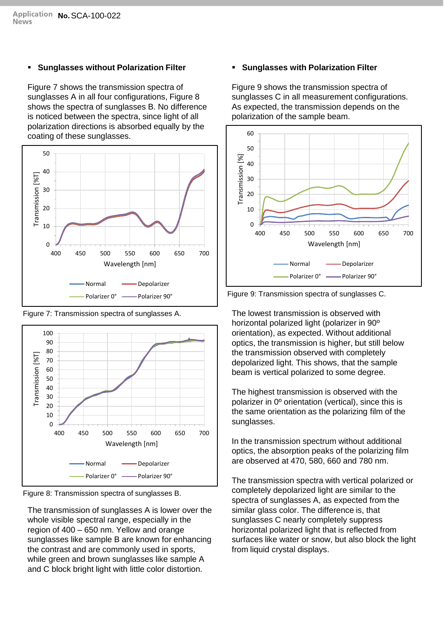### ▪ **Sunglasses without Polarization Filter**

Figure 7 shows the transmission spectra of sunglasses A in all four configurations, Figure 8 shows the spectra of sunglasses B. No difference is noticed between the spectra, since light of all polarization directions is absorbed equally by the coating of these sunglasses.



Figure 7: Transmission spectra of sunglasses A.



Figure 8: Transmission spectra of sunglasses B.

The transmission of sunglasses A is lower over the whole visible spectral range, especially in the region of 400 – 650 nm. Yellow and orange sunglasses like sample B are known for enhancing the contrast and are commonly used in sports, while green and brown sunglasses like sample A and C block bright light with little color distortion.

# ▪ **Sunglasses with Polarization Filter**

Figure 9 shows the transmission spectra of sunglasses C in all measurement configurations. As expected, the transmission depends on the polarization of the sample beam.



Figure 9: Transmission spectra of sunglasses C.

The lowest transmission is observed with horizontal polarized light (polarizer in 90º orientation), as expected. Without additional optics, the transmission is higher, but still below the transmission observed with completely depolarized light. This shows, that the sample beam is vertical polarized to some degree.

The highest transmission is observed with the polarizer in 0º orientation (vertical), since this is the same orientation as the polarizing film of the sunglasses.

In the transmission spectrum without additional optics, the absorption peaks of the polarizing film are observed at 470, 580, 660 and 780 nm.

The transmission spectra with vertical polarized or completely depolarized light are similar to the spectra of sunglasses A, as expected from the similar glass color. The difference is, that sunglasses C nearly completely suppress horizontal polarized light that is reflected from surfaces like water or snow, but also block the light from liquid crystal displays.